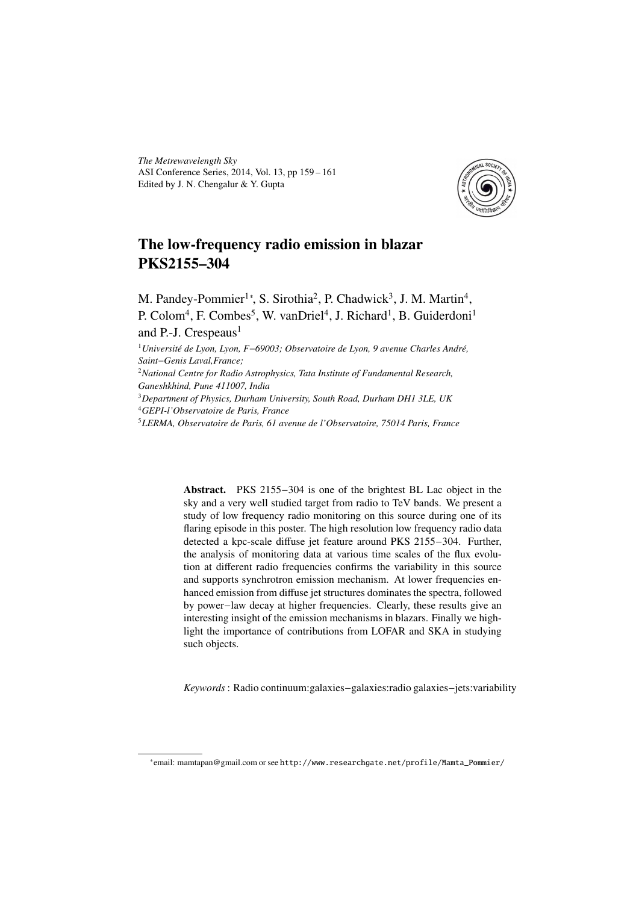*The Metrewavelength Sky* ASI Conference Series, 2014, Vol. 13, pp 159 – 161 Edited by J. N. Chengalur & Y. Gupta



## The low-frequency radio emission in blazar PKS2155–304

M. Pandey-Pommier<sup>1</sup>\*, S. Sirothia<sup>2</sup>, P. Chadwick<sup>3</sup>, J. M. Martin<sup>4</sup>, P. Colom<sup>4</sup>, F. Combes<sup>5</sup>, W. vanDriel<sup>4</sup>, J. Richard<sup>1</sup>, B. Guiderdoni<sup>1</sup>

and P.-J. Crespeaus $<sup>1</sup>$ </sup>

<sup>1</sup>*Université de Lyon, Lyon, F*−*69003; Observatoire de Lyon, 9 avenue Charles André, Saint*−*Genis Laval,France;*

<sup>2</sup>*National Centre for Radio Astrophysics, Tata Institute of Fundamental Research, Ganeshkhind, Pune 411007, India*

<sup>3</sup>*Department of Physics, Durham University, South Road, Durham DH1 3LE, UK* <sup>4</sup>*GEPI-l'Observatoire de Paris, France*

<sup>5</sup>*LERMA, Observatoire de Paris, 61 avenue de l'Observatoire, 75014 Paris, France*

Abstract. PKS 2155−304 is one of the brightest BL Lac object in the sky and a very well studied target from radio to TeV bands. We present a study of low frequency radio monitoring on this source during one of its flaring episode in this poster. The high resolution low frequency radio data detected a kpc-scale diffuse jet feature around PKS 2155−304. Further, the analysis of monitoring data at various time scales of the flux evolution at different radio frequencies confirms the variability in this source and supports synchrotron emission mechanism. At lower frequencies enhanced emission from diffuse jet structures dominates the spectra, followed by power−law decay at higher frequencies. Clearly, these results give an interesting insight of the emission mechanisms in blazars. Finally we highlight the importance of contributions from LOFAR and SKA in studying such objects.

*Keywords*: Radio continuum:galaxies−galaxies:radio galaxies−jets:variability

<sup>∗</sup> email: mamtapan@gmail.com or see http://www.researchgate.net/profile/Mamta\_Pommier/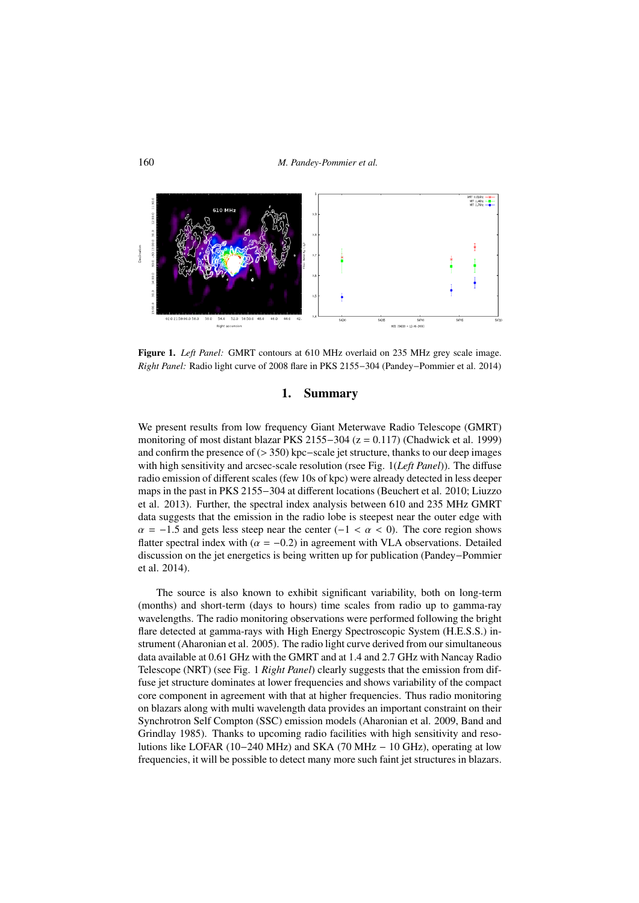

Figure 1. *Left Panel:* GMRT contours at 610 MHz overlaid on 235 MHz grey scale image. *Right Panel:* Radio light curve of 2008 flare in PKS 2155−304 (Pandey−Pommier et al. 2014)

## 1. Summary

We present results from low frequency Giant Meterwave Radio Telescope (GMRT) monitoring of most distant blazar PKS 2155−304 (z = 0.117) (Chadwick et al. 1999) and confirm the presence of (> 350) kpc−scale jet structure, thanks to our deep images with high sensitivity and arcsec-scale resolution (rsee Fig. 1(*Left Panel*)). The diffuse radio emission of different scales (few 10s of kpc) were already detected in less deeper maps in the past in PKS 2155−304 at different locations (Beuchert et al. 2010; Liuzzo et al. 2013). Further, the spectral index analysis between 610 and 235 MHz GMRT data suggests that the emission in the radio lobe is steepest near the outer edge with  $\alpha = -1.5$  and gets less steep near the center (-1 <  $\alpha$  < 0). The core region shows flatter spectral index with ( $\alpha = -0.2$ ) in agreement with VLA observations. Detailed discussion on the jet energetics is being written up for publication (Pandey−Pommier et al. 2014).

The source is also known to exhibit significant variability, both on long-term (months) and short-term (days to hours) time scales from radio up to gamma-ray wavelengths. The radio monitoring observations were performed following the bright flare detected at gamma-rays with High Energy Spectroscopic System (H.E.S.S.) instrument (Aharonian et al. 2005). The radio light curve derived from our simultaneous data available at 0.61 GHz with the GMRT and at 1.4 and 2.7 GHz with Nancay Radio Telescope (NRT) (see Fig. 1 *Right Panel*) clearly suggests that the emission from diffuse jet structure dominates at lower frequencies and shows variability of the compact core component in agreement with that at higher frequencies. Thus radio monitoring on blazars along with multi wavelength data provides an important constraint on their Synchrotron Self Compton (SSC) emission models (Aharonian et al. 2009, Band and Grindlay 1985). Thanks to upcoming radio facilities with high sensitivity and resolutions like LOFAR (10−240 MHz) and SKA (70 MHz − 10 GHz), operating at low frequencies, it will be possible to detect many more such faint jet structures in blazars.